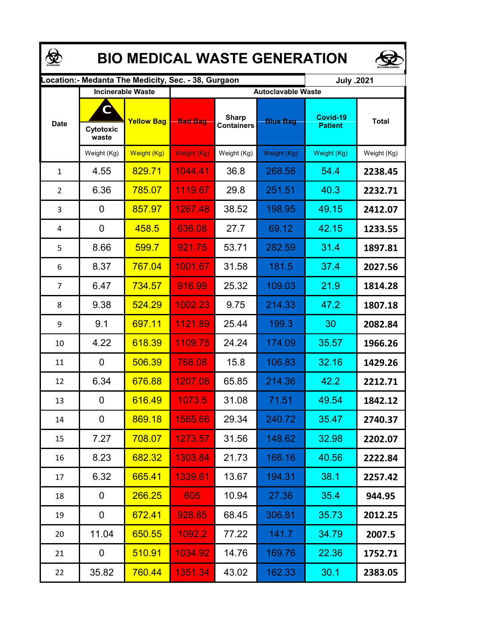| <b>BIO MEDICAL WASTE GENERATION</b> |                                                      |                          |                           |                                   |                 |                            |              |  |  |  |
|-------------------------------------|------------------------------------------------------|--------------------------|---------------------------|-----------------------------------|-----------------|----------------------------|--------------|--|--|--|
|                                     | ocation: - Medanta The Medicity, Sec. - 38, Gurgaon. | July .2021               |                           |                                   |                 |                            |              |  |  |  |
|                                     |                                                      | <b>Incinerable Waste</b> | <b>Autoclavable Waste</b> |                                   |                 |                            |              |  |  |  |
| <b>Date</b>                         | $\mathbf C$<br>Cytotoxic<br>waste                    | <b>Yellow Bag</b>        | <b>Red Bag</b>            | <b>Sharp</b><br><b>Containers</b> | <b>Blue Bag</b> | Covid-19<br><b>Patient</b> | <b>Total</b> |  |  |  |
|                                     | Weight (Kg)                                          | Weight (Kg)              | Weight (Kg)               | Weight (Kg)                       | Weight (Kg)     | Weight (Kg)                | Weight (Kg)  |  |  |  |
| 1                                   | 4.55                                                 | 829.71                   | 1044.41                   | 36.8                              | 268.58          | 54.4                       | 2238.45      |  |  |  |
| $\overline{2}$                      | 6.36                                                 | 785.07                   | 1119.67                   | 29.8                              | 251.51          | 40.3                       | 2232.71      |  |  |  |
| 3                                   | 0                                                    | 857.97                   | 1267.48                   | 38.52                             | 198.95          | 49.15                      | 2412.07      |  |  |  |
| 4                                   | 0                                                    | 458.5                    | 636.08                    | 27.7                              | 69.12           | 42.15                      | 1233.55      |  |  |  |
| 5                                   | 8.66                                                 | 599.7                    | 921.75                    | 53.71                             | 282.59          | 31.4                       | 1897.81      |  |  |  |
| 6                                   | 8.37                                                 | 767.04                   | 1001.67                   | 31.58                             | 181.5           | 37.4                       | 2027.56      |  |  |  |
| $\overline{7}$                      | 6.47                                                 | 734.57                   | 916.99                    | 25.32                             | 109.03          | 21.9                       | 1814.28      |  |  |  |
| 8                                   | 9.38                                                 | 524.29                   | 1002.23                   | 9.75                              | 214.33          | 47.2                       | 1807.18      |  |  |  |
| 9                                   | 9.1                                                  | 697.11                   | 1121.89                   | 25.44                             | 199.3           | 30                         | 2082.84      |  |  |  |
| 10                                  | 4.22                                                 | 618.39                   | 1109.75                   | 24.24                             | 174.09          | 35.57                      | 1966.26      |  |  |  |
| 11                                  | 0                                                    | 506.39                   | 768.08                    | 15.8                              | 106.83          | 32.16                      | 1429.26      |  |  |  |
| 12                                  | 6.34                                                 | 676.88                   | 1207.08                   | 65.85                             | 214.36          | 42.2                       | 2212.71      |  |  |  |
| 13                                  | 0                                                    | 616.49                   | 1073.5                    | 31.08                             | 71.51           | 49.54                      | 1842.12      |  |  |  |
| 14                                  | 0                                                    | 869.18                   | 1565.66                   | 29.34                             | 240.72          | 35.47                      | 2740.37      |  |  |  |
| 15                                  | 7.27                                                 | 708.07                   | 1273.57                   | 31.56                             | 148.62          | 32.98                      | 2202.07      |  |  |  |
| 16                                  | 8.23                                                 | 682.32                   | 1303.84                   | 21.73                             | 166.16          | 40.56                      | 2222.84      |  |  |  |
| 17                                  | 6.32                                                 | 665.41                   | 1339.61                   | 13.67                             | 194.31          | 38.1                       | 2257.42      |  |  |  |
| 18                                  | 0                                                    | 266.25                   | 605                       | 10.94                             | 27.36           | 35.4                       | 944.95       |  |  |  |
| 19                                  | 0                                                    | 672.41                   | 928.85                    | 68.45                             | 306.81          | 35.73                      | 2012.25      |  |  |  |
| 20                                  | 11.04                                                | 650.55                   | 1092.2                    | 77.22                             | 141.7           | 34.79                      | 2007.5       |  |  |  |
| 21                                  | 0                                                    | 510.91                   | 1034.92                   | 14.76                             | 169.76          | 22.36                      | 1752.71      |  |  |  |
| 22                                  | 35.82                                                | 760.44                   | 1351.34                   | 43.02                             | 162.33          | 30.1                       | 2383.05      |  |  |  |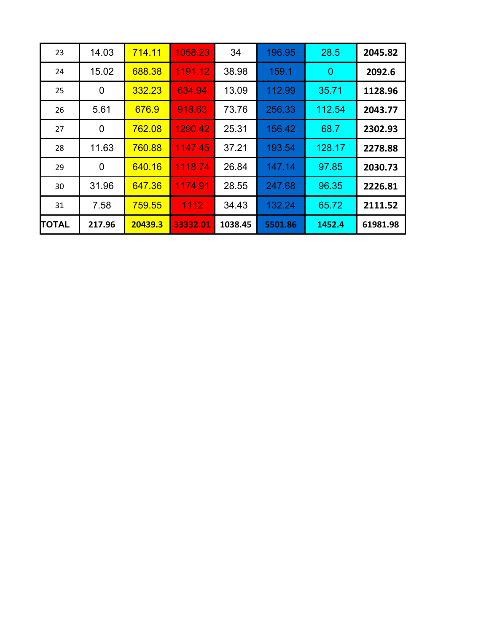| 23    | 14.03          | 714.11  | 1058.23  | 34      | 196.95  | 28.5           | 2045.82  |
|-------|----------------|---------|----------|---------|---------|----------------|----------|
| 24    | 15.02          | 688.38  | 1191.12  | 38.98   | 159.1   | $\overline{0}$ | 2092.6   |
| 25    | $\overline{0}$ | 332.23  | 634.94   | 13.09   | 112.99  | 35.71          | 1128.96  |
| 26    | 5.61           | 676.9   | 918.63   | 73.76   | 256.33  | 112.54         | 2043.77  |
| 27    | $\overline{0}$ | 762.08  | 1290.42  | 25.31   | 156.42  | 68.7           | 2302.93  |
| 28    | 11.63          | 760.88  | 1147.45  | 37.21   | 193.54  | 128.17         | 2278.88  |
| 29    | $\overline{0}$ | 640.16  | 1118.74  | 26.84   | 147.14  | 97.85          | 2030.73  |
| 30    | 31.96          | 647.36  | 1174.91  | 28.55   | 247.68  | 96.35          | 2226.81  |
| 31    | 7.58           | 759.55  | 1112     | 34.43   | 132.24  | 65.72          | 2111.52  |
| TOTAL | 217.96         | 20439.3 | 33332.01 | 1038.45 | 5501.86 | 1452.4         | 61981.98 |